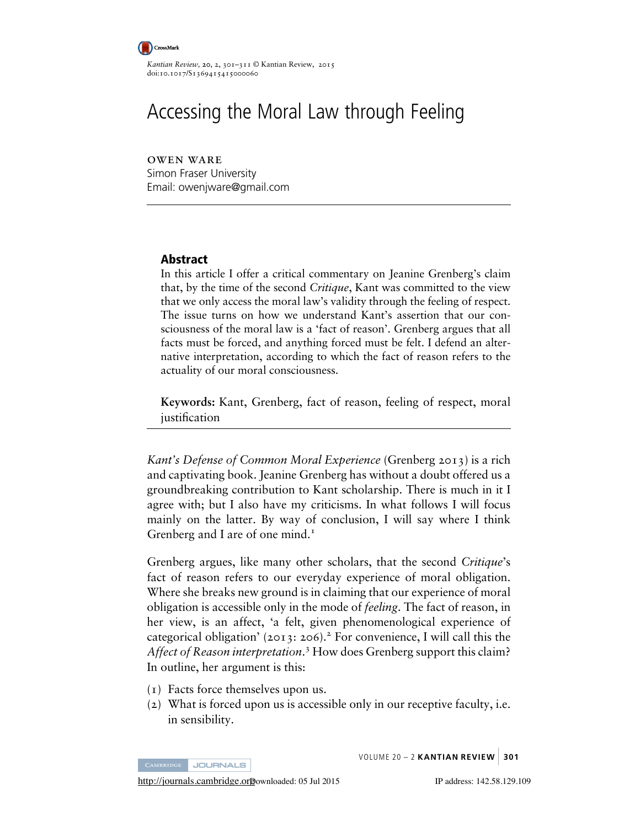# Accessing the Moral Law through Feeling

owen ware Simon Fraser University Email: owenjware@gmail.com

## Abstract

In this article I offer a critical commentary on Jeanine Grenberg's claim that, by the time of the second Critique, Kant was committed to the view that we only access the moral law's validity through the feeling of respect. The issue turns on how we understand Kant's assertion that our consciousness of the moral law is a 'fact of reason'. Grenberg argues that all facts must be forced, and anything forced must be felt. I defend an alternative interpretation, according to which the fact of reason refers to the actuality of our moral consciousness.

Keywords: Kant, Grenberg, fact of reason, feeling of respect, moral justification

Kant's Defense of Common Moral Experience (Grenberg 2013) is a rich and captivating book. Jeanine Grenberg has without a doubt offered us a groundbreaking contribution to Kant scholarship. There is much in it I agree with; but I also have my criticisms. In what follows I will focus mainly on the latter. By way of conclusion, I will say where I think Grenberg and I are of one mind.<sup>1</sup>

Grenberg argues, like many other scholars, that the second Critique's fact of reason refers to our everyday experience of moral obligation. Where she breaks new ground is in claiming that our experience of moral obligation is accessible only in the mode of *feeling*. The fact of reason, in her view, is an affect, 'a felt, given phenomenological experience of categorical obligation' (2013: 206).<sup>2</sup> For convenience, I will call this the Affect of Reason interpretation.<sup>3</sup> How does Grenberg support this claim? In outline, her argument is this:

- (1) Facts force themselves upon us.
- (2) What is forced upon us is accessible only in our receptive faculty, i.e. in sensibility.

**CAMBRIDGE JOURNALS**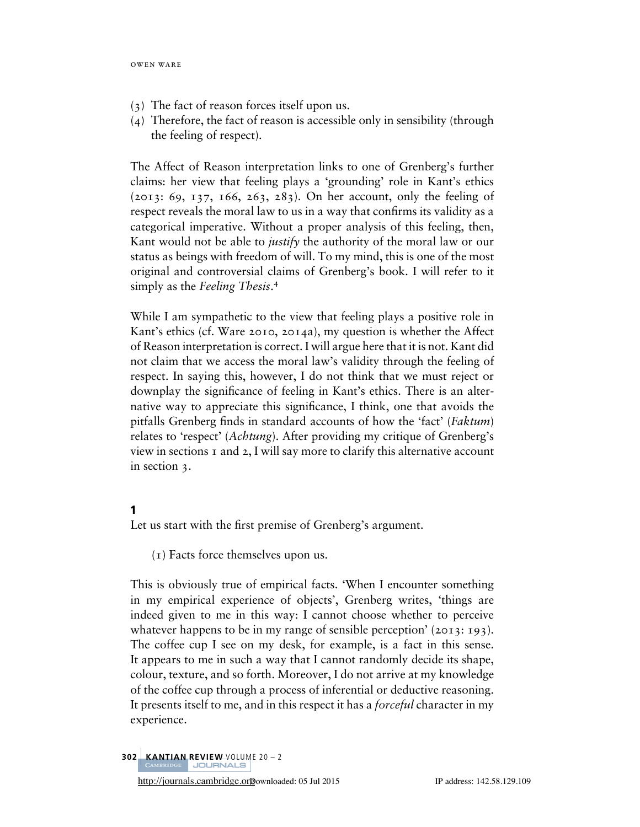- (3) The fact of reason forces itself upon us.
- (4) Therefore, the fact of reason is accessible only in sensibility (through the feeling of respect).

The Affect of Reason interpretation links to one of Grenberg's further claims: her view that feeling plays a 'grounding' role in Kant's ethics (2013: 69, 137, 166, 263, 283). On her account, only the feeling of respect reveals the moral law to us in a way that confirms its validity as a categorical imperative. Without a proper analysis of this feeling, then, Kant would not be able to justify the authority of the moral law or our status as beings with freedom of will. To my mind, this is one of the most original and controversial claims of Grenberg's book. I will refer to it simply as the Feeling Thesis.<sup>4</sup>

While I am sympathetic to the view that feeling plays a positive role in Kant's ethics (cf. Ware 2010, 2014a), my question is whether the Affect of Reason interpretation is correct. I will argue here that it is not. Kant did not claim that we access the moral law's validity through the feeling of respect. In saying this, however, I do not think that we must reject or downplay the significance of feeling in Kant's ethics. There is an alternative way to appreciate this significance, I think, one that avoids the pitfalls Grenberg finds in standard accounts of how the 'fact' (Faktum) relates to 'respect' (Achtung). After providing my critique of Grenberg's view in sections  $\bar{x}$  and  $\bar{z}$ , I will say more to clarify this alternative account in section 3.

## 1

Let us start with the first premise of Grenberg's argument.

(1) Facts force themselves upon us.

This is obviously true of empirical facts. 'When I encounter something in my empirical experience of objects', Grenberg writes, 'things are indeed given to me in this way: I cannot choose whether to perceive whatever happens to be in my range of sensible perception' (2013: 193). The coffee cup I see on my desk, for example, is a fact in this sense. It appears to me in such a way that I cannot randomly decide its shape, colour, texture, and so forth. Moreover, I do not arrive at my knowledge of the coffee cup through a process of inferential or deductive reasoning. It presents itself to me, and in this respect it has a *forceful* character in my experience.

302 <sup>|</sup> KANTIAN REVIEW VOLUME 20 – <sup>2</sup>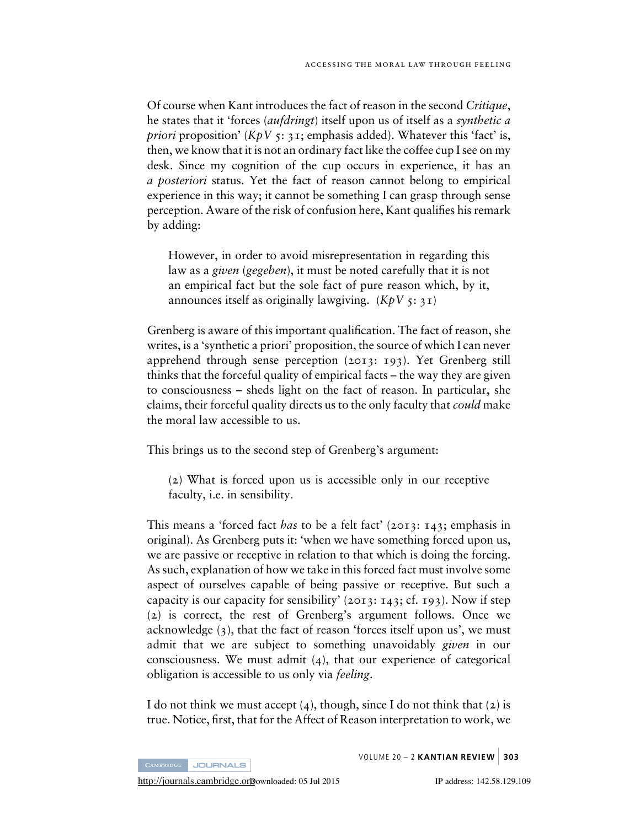Of course when Kant introduces the fact of reason in the second Critique, he states that it 'forces (aufdringt) itself upon us of itself as a synthetic a *priori* proposition' ( $KpV$  5: 31; emphasis added). Whatever this 'fact' is, then, we know that it is not an ordinary fact like the coffee cup I see on my desk. Since my cognition of the cup occurs in experience, it has an a posteriori status. Yet the fact of reason cannot belong to empirical experience in this way; it cannot be something I can grasp through sense perception. Aware of the risk of confusion here, Kant qualifies his remark by adding:

However, in order to avoid misrepresentation in regarding this law as a given (gegeben), it must be noted carefully that it is not an empirical fact but the sole fact of pure reason which, by it, announces itself as originally lawgiving.  $(KpV_5: 3I)$ 

Grenberg is aware of this important qualification. The fact of reason, she writes, is a 'synthetic a priori' proposition, the source of which I can never apprehend through sense perception (2013: 193). Yet Grenberg still thinks that the forceful quality of empirical facts – the way they are given to consciousness – sheds light on the fact of reason. In particular, she claims, their forceful quality directs us to the only faculty that could make the moral law accessible to us.

This brings us to the second step of Grenberg's argument:

(2) What is forced upon us is accessible only in our receptive faculty, i.e. in sensibility.

This means a 'forced fact *has* to be a felt fact' (2013: 143; emphasis in original). As Grenberg puts it: 'when we have something forced upon us, we are passive or receptive in relation to that which is doing the forcing. As such, explanation of how we take in this forced fact must involve some aspect of ourselves capable of being passive or receptive. But such a capacity is our capacity for sensibility' (2013: 143; cf. 193). Now if step (2) is correct, the rest of Grenberg's argument follows. Once we acknowledge (3), that the fact of reason 'forces itself upon us', we must admit that we are subject to something unavoidably *given* in our consciousness. We must admit (4), that our experience of categorical obligation is accessible to us only via *feeling*.

I do not think we must accept  $(4)$ , though, since I do not think that  $(2)$  is true. Notice, first, that for the Affect of Reason interpretation to work, we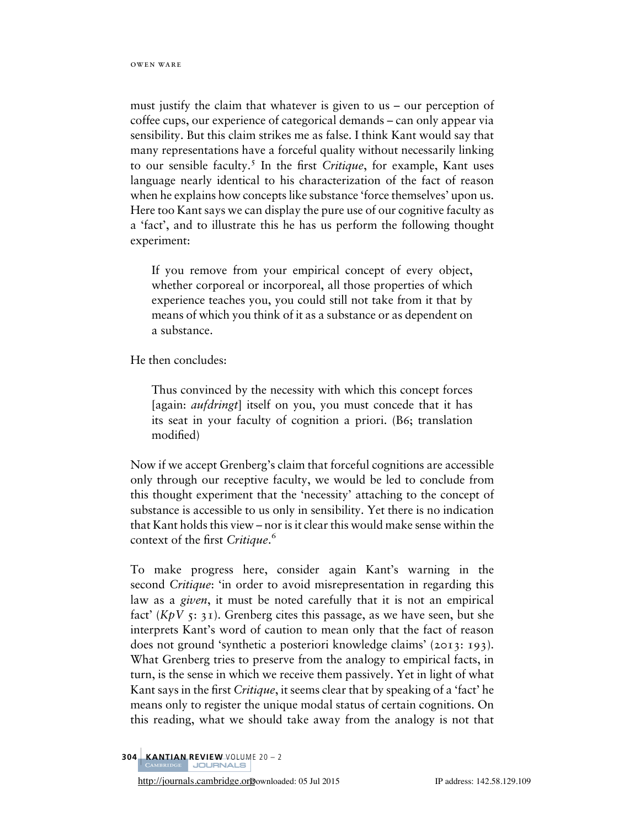must justify the claim that whatever is given to us – our perception of coffee cups, our experience of categorical demands – can only appear via sensibility. But this claim strikes me as false. I think Kant would say that many representations have a forceful quality without necessarily linking to our sensible faculty.<sup>5</sup> In the first Critique, for example, Kant uses language nearly identical to his characterization of the fact of reason when he explains how concepts like substance 'force themselves' upon us. Here too Kant says we can display the pure use of our cognitive faculty as a 'fact', and to illustrate this he has us perform the following thought experiment:

If you remove from your empirical concept of every object, whether corporeal or incorporeal, all those properties of which experience teaches you, you could still not take from it that by means of which you think of it as a substance or as dependent on a substance.

He then concludes:

Thus convinced by the necessity with which this concept forces [again: *aufdringt*] itself on you, you must concede that it has its seat in your faculty of cognition a priori. (B6; translation modified)

Now if we accept Grenberg's claim that forceful cognitions are accessible only through our receptive faculty, we would be led to conclude from this thought experiment that the 'necessity' attaching to the concept of substance is accessible to us only in sensibility. Yet there is no indication that Kant holds this view – nor is it clear this would make sense within the context of the first Critique.<sup>6</sup>

To make progress here, consider again Kant's warning in the second Critique: 'in order to avoid misrepresentation in regarding this law as a *given*, it must be noted carefully that it is not an empirical fact' ( $KpV$  5: 31). Grenberg cites this passage, as we have seen, but she interprets Kant's word of caution to mean only that the fact of reason does not ground 'synthetic a posteriori knowledge claims' (2013: 193). What Grenberg tries to preserve from the analogy to empirical facts, in turn, is the sense in which we receive them passively. Yet in light of what Kant says in the first *Critique*, it seems clear that by speaking of a 'fact' he means only to register the unique modal status of certain cognitions. On this reading, what we should take away from the analogy is not that

304 <sup>|</sup> KANTIAN REVIEW VOLUME 20 – <sup>2</sup>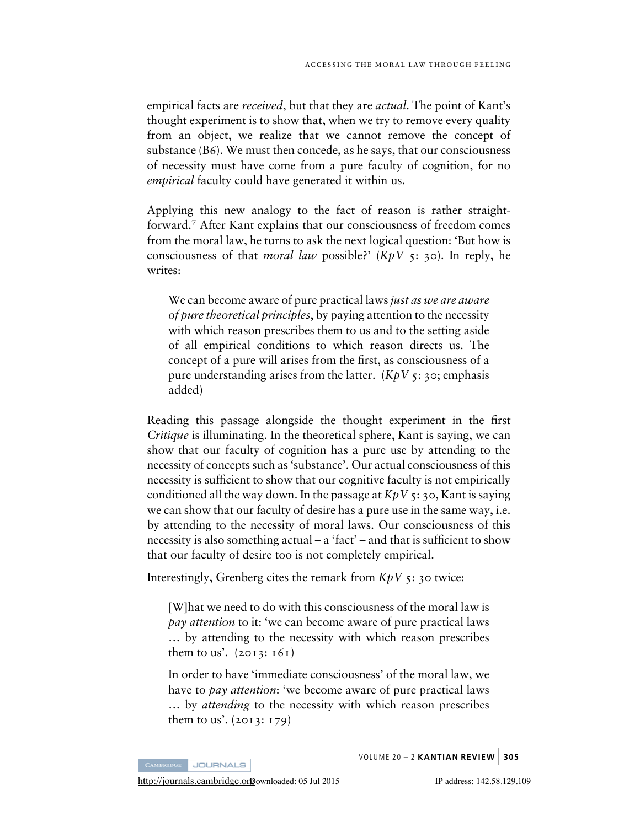empirical facts are *received*, but that they are *actual*. The point of Kant's thought experiment is to show that, when we try to remove every quality from an object, we realize that we cannot remove the concept of substance (B6). We must then concede, as he says, that our consciousness of necessity must have come from a pure faculty of cognition, for no empirical faculty could have generated it within us.

Applying this new analogy to the fact of reason is rather straightforward.<sup>7</sup> After Kant explains that our consciousness of freedom comes from the moral law, he turns to ask the next logical question: 'But how is consciousness of that *moral law* possible?' ( $KpV$  5: 30). In reply, he writes:

We can become aware of pure practical laws just as we are aware of pure theoretical principles, by paying attention to the necessity with which reason prescribes them to us and to the setting aside of all empirical conditions to which reason directs us. The concept of a pure will arises from the first, as consciousness of a pure understanding arises from the latter.  $(KpV_5: 30;$  emphasis added)

Reading this passage alongside the thought experiment in the first Critique is illuminating. In the theoretical sphere, Kant is saying, we can show that our faculty of cognition has a pure use by attending to the necessity of concepts such as 'substance'. Our actual consciousness of this necessity is sufficient to show that our cognitive faculty is not empirically conditioned all the way down. In the passage at  $KpV$  5: 30, Kant is saying we can show that our faculty of desire has a pure use in the same way, i.e. by attending to the necessity of moral laws. Our consciousness of this necessity is also something actual – a 'fact' – and that is sufficient to show that our faculty of desire too is not completely empirical.

Interestingly, Grenberg cites the remark from  $KpV$  5: 30 twice:

[W]hat we need to do with this consciousness of the moral law is pay attention to it: 'we can become aware of pure practical laws … by attending to the necessity with which reason prescribes them to us'.  $(2013:161)$ 

In order to have 'immediate consciousness' of the moral law, we have to *pay attention*: 'we become aware of pure practical laws … by attending to the necessity with which reason prescribes them to us'.  $(2013:179)$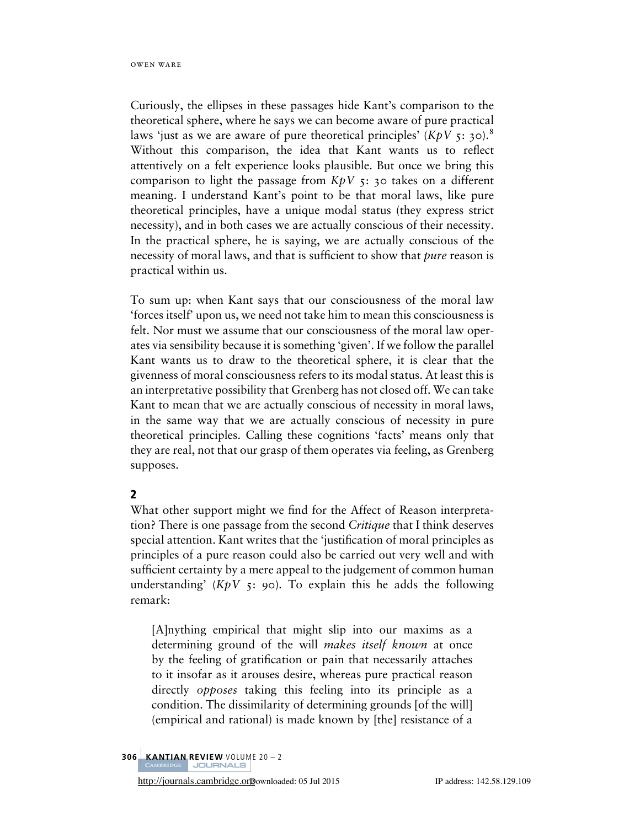Curiously, the ellipses in these passages hide Kant's comparison to the theoretical sphere, where he says we can become aware of pure practical laws 'just as we are aware of pure theoretical principles'  $(KpV_5: 30)^8$ Without this comparison, the idea that Kant wants us to reflect attentively on a felt experience looks plausible. But once we bring this comparison to light the passage from  $KpV$  5: 30 takes on a different meaning. I understand Kant's point to be that moral laws, like pure theoretical principles, have a unique modal status (they express strict necessity), and in both cases we are actually conscious of their necessity. In the practical sphere, he is saying, we are actually conscious of the necessity of moral laws, and that is sufficient to show that *pure* reason is practical within us.

To sum up: when Kant says that our consciousness of the moral law 'forces itself' upon us, we need not take him to mean this consciousness is felt. Nor must we assume that our consciousness of the moral law operates via sensibility because it is something 'given'. If we follow the parallel Kant wants us to draw to the theoretical sphere, it is clear that the givenness of moral consciousness refers to its modal status. At least this is an interpretative possibility that Grenberg has not closed off. We can take Kant to mean that we are actually conscious of necessity in moral laws, in the same way that we are actually conscious of necessity in pure theoretical principles. Calling these cognitions 'facts' means only that they are real, not that our grasp of them operates via feeling, as Grenberg supposes.

### 2

What other support might we find for the Affect of Reason interpretation? There is one passage from the second Critique that I think deserves special attention. Kant writes that the 'justification of moral principles as principles of a pure reason could also be carried out very well and with sufficient certainty by a mere appeal to the judgement of common human understanding' ( $KpV$  5: 90). To explain this he adds the following remark:

[A]nything empirical that might slip into our maxims as a determining ground of the will *makes itself known* at once by the feeling of gratification or pain that necessarily attaches to it insofar as it arouses desire, whereas pure practical reason directly *opposes* taking this feeling into its principle as a condition. The dissimilarity of determining grounds [of the will] (empirical and rational) is made known by [the] resistance of a

306 <sup>|</sup> KANTIAN REVIEW VOLUME 20 – <sup>2</sup>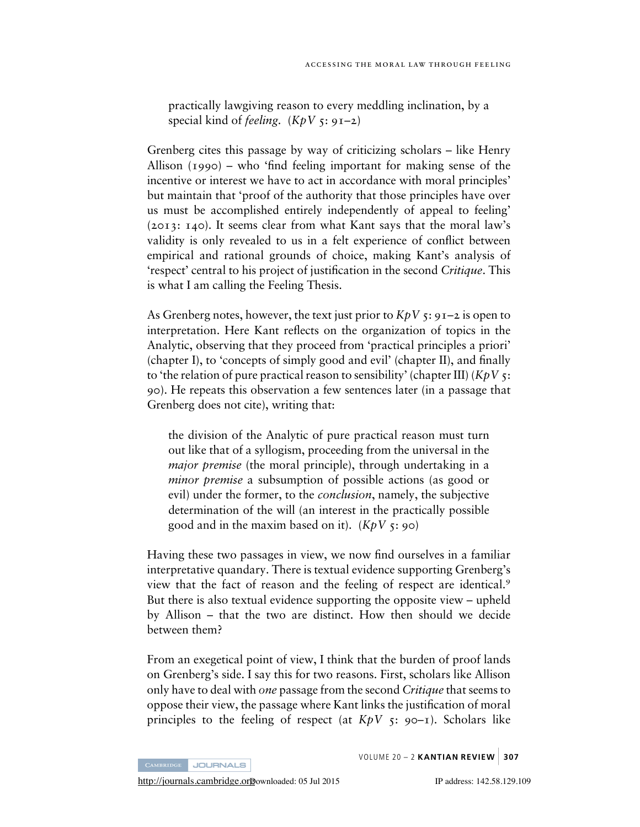practically lawgiving reason to every meddling inclination, by a special kind of *feeling.*  $(KpV_5: 9I-2)$ 

Grenberg cites this passage by way of criticizing scholars – like Henry Allison  $(1990)$  – who 'find feeling important for making sense of the incentive or interest we have to act in accordance with moral principles' but maintain that 'proof of the authority that those principles have over us must be accomplished entirely independently of appeal to feeling' (2013: 140). It seems clear from what Kant says that the moral law's validity is only revealed to us in a felt experience of conflict between empirical and rational grounds of choice, making Kant's analysis of 'respect' central to his project of justification in the second Critique. This is what I am calling the Feeling Thesis.

As Grenberg notes, however, the text just prior to  $KpV$  5: 91–2 is open to interpretation. Here Kant reflects on the organization of topics in the Analytic, observing that they proceed from 'practical principles a priori' (chapter I), to 'concepts of simply good and evil' (chapter II), and finally to 'the relation of pure practical reason to sensibility' (chapter III) ( $KpV$  5: 90). He repeats this observation a few sentences later (in a passage that Grenberg does not cite), writing that:

the division of the Analytic of pure practical reason must turn out like that of a syllogism, proceeding from the universal in the major premise (the moral principle), through undertaking in a minor premise a subsumption of possible actions (as good or evil) under the former, to the *conclusion*, namely, the subjective determination of the will (an interest in the practically possible good and in the maxim based on it).  $(KpV_5: 90)$ 

Having these two passages in view, we now find ourselves in a familiar interpretative quandary. There is textual evidence supporting Grenberg's view that the fact of reason and the feeling of respect are identical.<sup>9</sup> But there is also textual evidence supporting the opposite view – upheld by Allison – that the two are distinct. How then should we decide between them?

From an exegetical point of view, I think that the burden of proof lands on Grenberg's side. I say this for two reasons. First, scholars like Allison only have to deal with *one* passage from the second *Critique* that seems to oppose their view, the passage where Kant links the justification of moral principles to the feeling of respect (at  $KpV$  5: 90–1). Scholars like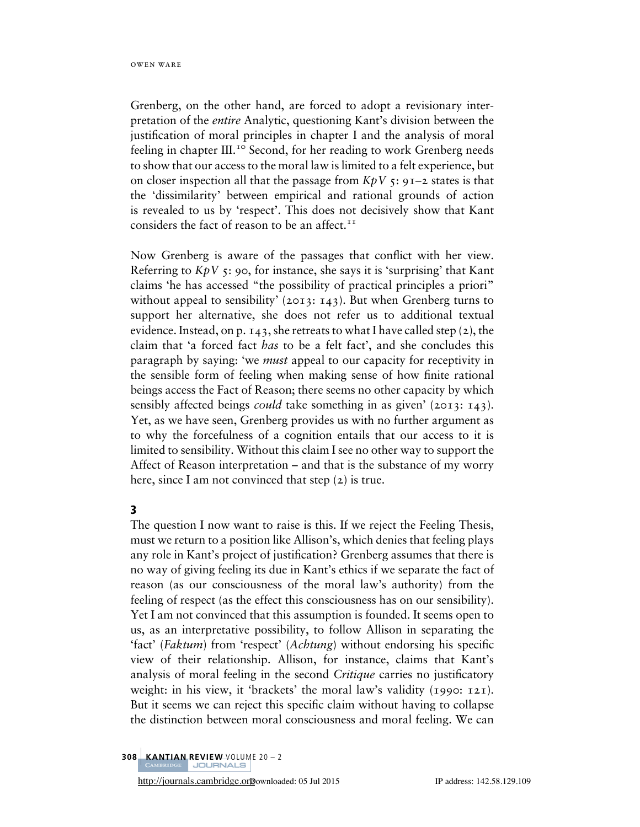Grenberg, on the other hand, are forced to adopt a revisionary interpretation of the entire Analytic, questioning Kant's division between the justification of moral principles in chapter I and the analysis of moral feeling in chapter III.<sup>10</sup> Second, for her reading to work Grenberg needs to show that our access to the moral law is limited to a felt experience, but on closer inspection all that the passage from  $KpV$  5: 91–2 states is that the 'dissimilarity' between empirical and rational grounds of action is revealed to us by 'respect'. This does not decisively show that Kant considers the fact of reason to be an affect. $I<sup>T</sup>$ 

Now Grenberg is aware of the passages that conflict with her view. Referring to  $KpV$  5: 90, for instance, she says it is 'surprising' that Kant claims 'he has accessed "the possibility of practical principles a priori" without appeal to sensibility' (2013: 143). But when Grenberg turns to support her alternative, she does not refer us to additional textual evidence. Instead, on p. 143, she retreats to what I have called step (2), the claim that 'a forced fact has to be a felt fact', and she concludes this paragraph by saying: 'we must appeal to our capacity for receptivity in the sensible form of feeling when making sense of how finite rational beings access the Fact of Reason; there seems no other capacity by which sensibly affected beings *could* take something in as given' (2013: 143). Yet, as we have seen, Grenberg provides us with no further argument as to why the forcefulness of a cognition entails that our access to it is limited to sensibility. Without this claim I see no other way to support the Affect of Reason interpretation – and that is the substance of my worry here, since I am not convinced that step (2) is true.

#### 3

The question I now want to raise is this. If we reject the Feeling Thesis, must we return to a position like Allison's, which denies that feeling plays any role in Kant's project of justification? Grenberg assumes that there is no way of giving feeling its due in Kant's ethics if we separate the fact of reason (as our consciousness of the moral law's authority) from the feeling of respect (as the effect this consciousness has on our sensibility). Yet I am not convinced that this assumption is founded. It seems open to us, as an interpretative possibility, to follow Allison in separating the 'fact' (Faktum) from 'respect' (Achtung) without endorsing his specific view of their relationship. Allison, for instance, claims that Kant's analysis of moral feeling in the second Critique carries no justificatory weight: in his view, it 'brackets' the moral law's validity (1990: 121). But it seems we can reject this specific claim without having to collapse the distinction between moral consciousness and moral feeling. We can

308 <sup>|</sup> KANTIAN REVIEW VOLUME 20 – <sup>2</sup>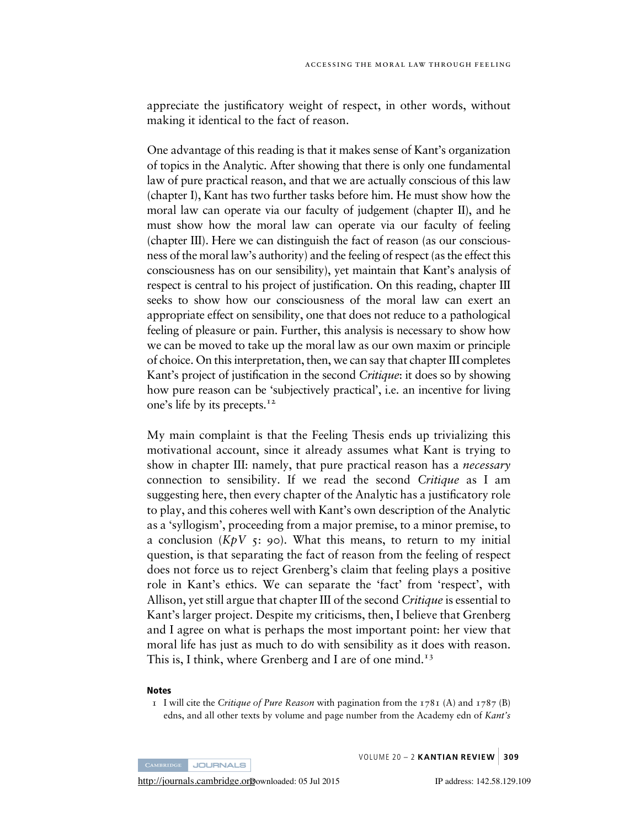appreciate the justificatory weight of respect, in other words, without making it identical to the fact of reason.

One advantage of this reading is that it makes sense of Kant's organization of topics in the Analytic. After showing that there is only one fundamental law of pure practical reason, and that we are actually conscious of this law (chapter I), Kant has two further tasks before him. He must show how the moral law can operate via our faculty of judgement (chapter II), and he must show how the moral law can operate via our faculty of feeling (chapter III). Here we can distinguish the fact of reason (as our consciousness of the moral law's authority) and the feeling of respect (as the effect this consciousness has on our sensibility), yet maintain that Kant's analysis of respect is central to his project of justification. On this reading, chapter III seeks to show how our consciousness of the moral law can exert an appropriate effect on sensibility, one that does not reduce to a pathological feeling of pleasure or pain. Further, this analysis is necessary to show how we can be moved to take up the moral law as our own maxim or principle of choice. On this interpretation, then, we can say that chapter III completes Kant's project of justification in the second Critique: it does so by showing how pure reason can be 'subjectively practical', i.e. an incentive for living one's life by its precepts.<sup>12</sup>

My main complaint is that the Feeling Thesis ends up trivializing this motivational account, since it already assumes what Kant is trying to show in chapter III: namely, that pure practical reason has a *necessary* connection to sensibility. If we read the second Critique as I am suggesting here, then every chapter of the Analytic has a justificatory role to play, and this coheres well with Kant's own description of the Analytic as a 'syllogism', proceeding from a major premise, to a minor premise, to a conclusion ( $KpV$  5: 90). What this means, to return to my initial question, is that separating the fact of reason from the feeling of respect does not force us to reject Grenberg's claim that feeling plays a positive role in Kant's ethics. We can separate the 'fact' from 'respect', with Allison, yet still argue that chapter III of the second Critique is essential to Kant's larger project. Despite my criticisms, then, I believe that Grenberg and I agree on what is perhaps the most important point: her view that moral life has just as much to do with sensibility as it does with reason. This is, I think, where Grenberg and I are of one mind.<sup>13</sup>

#### Notes

I I will cite the Critique of Pure Reason with pagination from the 1781 (A) and 1787 (B) edns, and all other texts by volume and page number from the Academy edn of Kant's

**JOURNALS CAMBRIDGE** 

VOLUME 20 – 2 KANTIAN REVIEW <sup>|</sup> <sup>309</sup>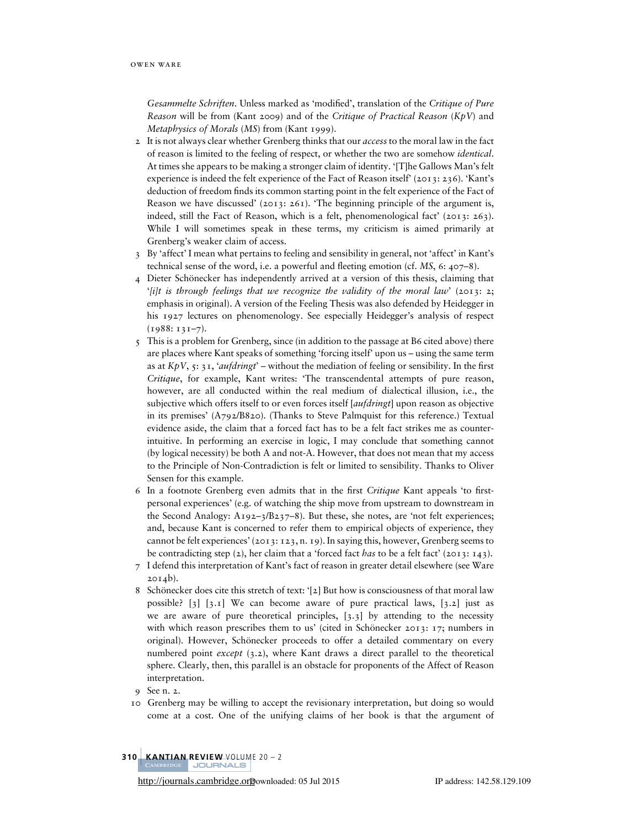Gesammelte Schriften. Unless marked as 'modified', translation of the Critique of Pure Reason will be from (Kant 2009) and of the Critique of Practical Reason (KpV) and Metaphysics of Morals (MS) from (Kant 1999).

- 2 It is not always clear whether Grenberg thinks that our *access* to the moral law in the fact of reason is limited to the feeling of respect, or whether the two are somehow identical. At times she appears to be making a stronger claim of identity. '[T]he Gallows Man's felt experience is indeed the felt experience of the Fact of Reason itself' (2013: 236). 'Kant's deduction of freedom finds its common starting point in the felt experience of the Fact of Reason we have discussed'  $(2013: 261)$ . The beginning principle of the argument is, indeed, still the Fact of Reason, which is a felt, phenomenological fact' (2013: 263). While I will sometimes speak in these terms, my criticism is aimed primarily at Grenberg's weaker claim of access.
- 3 By 'affect' I mean what pertains to feeling and sensibility in general, not 'affect' in Kant's technical sense of the word, i.e. a powerful and fleeting emotion (cf.  $MS$ , 6: 407–8).
- 4 Dieter Schönecker has independently arrived at a version of this thesis, claiming that 'filt is through feelings that we recognize the validity of the moral law' (2013: 2; emphasis in original). A version of the Feeling Thesis was also defended by Heidegger in his 1927 lectures on phenomenology. See especially Heidegger's analysis of respect (1988: 131–7).
- 5 This is a problem for Grenberg, since (in addition to the passage at B6 cited above) there are places where Kant speaks of something 'forcing itself' upon us – using the same term as at  $KpV$ , 5: 31, '*aufdringt'* – without the mediation of feeling or sensibility. In the first Critique, for example, Kant writes: 'The transcendental attempts of pure reason, however, are all conducted within the real medium of dialectical illusion, i.e., the subjective which offers itself to or even forces itself [*aufdringt*] upon reason as objective in its premises' (A792/B820). (Thanks to Steve Palmquist for this reference.) Textual evidence aside, the claim that a forced fact has to be a felt fact strikes me as counterintuitive. In performing an exercise in logic, I may conclude that something cannot (by logical necessity) be both A and not-A. However, that does not mean that my access to the Principle of Non-Contradiction is felt or limited to sensibility. Thanks to Oliver Sensen for this example.
- 6 In a footnote Grenberg even admits that in the first Critique Kant appeals 'to firstpersonal experiences' (e.g. of watching the ship move from upstream to downstream in the Second Analogy:  $A_192-3/B_237-8$ ). But these, she notes, are 'not felt experiences; and, because Kant is concerned to refer them to empirical objects of experience, they cannot be felt experiences'  $(2013: 123, n. 19)$ . In saying this, however, Grenberg seems to be contradicting step (2), her claim that a 'forced fact has to be a felt fact' (2013: 143).
- 7 I defend this interpretation of Kant's fact of reason in greater detail elsewhere (see Ware  $2014b$ ).
- 8 Schönecker does cite this stretch of text: '[2] But how is consciousness of that moral law possible? [3]  $[3,1]$  We can become aware of pure practical laws,  $[3,2]$  just as we are aware of pure theoretical principles, [3.3] by attending to the necessity with which reason prescribes them to us' (cited in Schönecker 2013: 17; numbers in original). However, Schönecker proceeds to offer a detailed commentary on every numbered point *except*  $(3,2)$ , where Kant draws a direct parallel to the theoretical sphere. Clearly, then, this parallel is an obstacle for proponents of the Affect of Reason interpretation.
- 9 See n. 2.
- 10 Grenberg may be willing to accept the revisionary interpretation, but doing so would come at a cost. One of the unifying claims of her book is that the argument of

310 <sup>|</sup> KANTIAN REVIEW VOLUME 20 – <sup>2</sup>